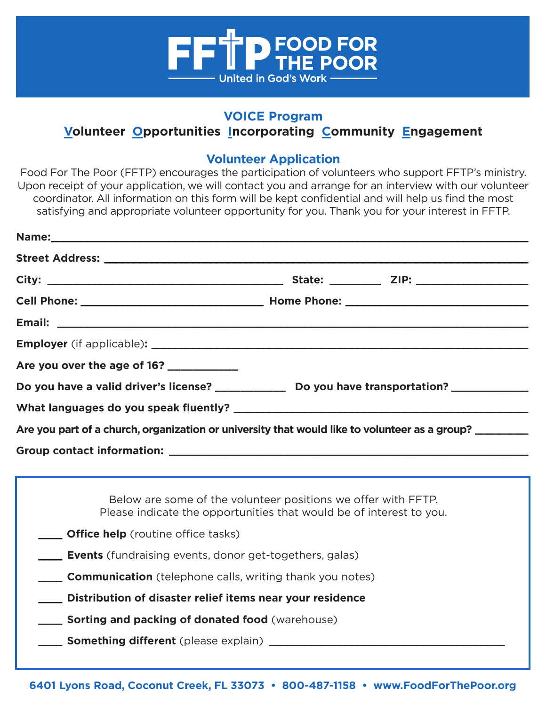

## **VOICE Program**

# **Volunteer Opportunities Incorporating Community Engagement**

### **Volunteer Application**

Food For The Poor (FFTP) encourages the participation of volunteers who support FFTP's ministry. Upon receipt of your application, we will contact you and arrange for an interview with our volunteer coordinator. All information on this form will be kept confidential and will help us find the most satisfying and appropriate volunteer opportunity for you. Thank you for your interest in FFTP.

| Are you over the age of 16? _________                                                                                                |                                      |
|--------------------------------------------------------------------------------------------------------------------------------------|--------------------------------------|
|                                                                                                                                      | $\vert \underline{\mathbf{v}} \vert$ |
|                                                                                                                                      |                                      |
| Are you part of a church, organization or university that would like to volunteer as a group? _______________                        |                                      |
|                                                                                                                                      |                                      |
|                                                                                                                                      |                                      |
| Below are some of the volunteer positions we offer with FFTP.<br>Please indicate the opportunities that would be of interest to you. |                                      |
| <b>Office help</b> (routine office tasks)                                                                                            |                                      |
| <b>Events</b> (fundraising events, donor get-togethers, galas)                                                                       |                                      |
| <b>Communication</b> (telephone calls, writing thank you notes)                                                                      |                                      |
| Distribution of disaster relief items near your residence                                                                            |                                      |
| <b>Sorting and packing of donated food</b> (warehouse)                                                                               |                                      |
|                                                                                                                                      |                                      |